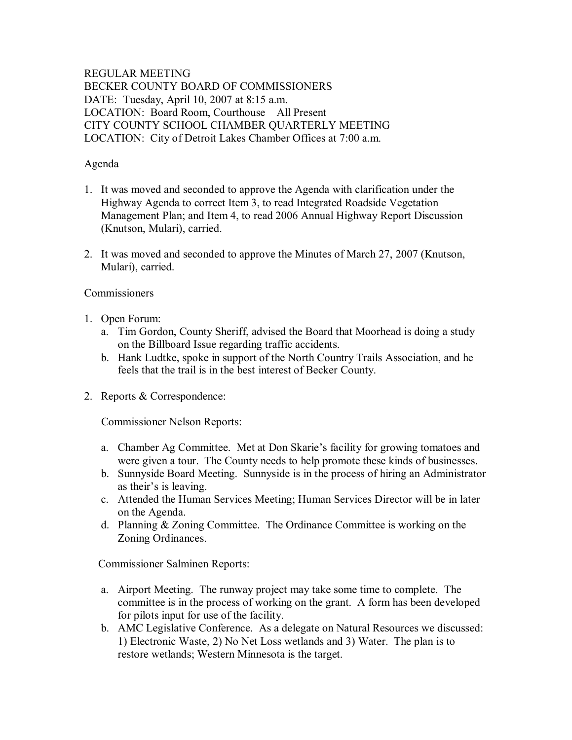## REGULAR MEETING BECKER COUNTY BOARD OF COMMISSIONERS DATE: Tuesday, April 10, 2007 at 8:15 a.m. LOCATION: Board Room, Courthouse All Present CITY COUNTY SCHOOL CHAMBER QUARTERLY MEETING LOCATION: City of Detroit Lakes Chamber Offices at 7:00 a.m.

## Agenda

- 1. It was moved and seconded to approve the Agenda with clarification under the Highway Agenda to correct Item 3, to read Integrated Roadside Vegetation Management Plan; and Item 4, to read 2006 Annual Highway Report Discussion (Knutson, Mulari), carried.
- 2. It was moved and seconded to approve the Minutes of March 27, 2007 (Knutson, Mulari), carried.

# **Commissioners**

- 1. Open Forum:
	- a. Tim Gordon, County Sheriff, advised the Board that Moorhead is doing a study on the Billboard Issue regarding traffic accidents.
	- b. Hank Ludtke, spoke in support of the North Country Trails Association, and he feels that the trail is in the best interest of Becker County.
- 2. Reports & Correspondence:

Commissioner Nelson Reports:

- a. Chamber Ag Committee. Met at Don Skarie's facility for growing tomatoes and were given a tour. The County needs to help promote these kinds of businesses.
- b. Sunnyside Board Meeting. Sunnyside is in the process of hiring an Administrator as their's is leaving.
- c. Attended the Human Services Meeting; Human Services Director will be in later on the Agenda.
- d. Planning & Zoning Committee. The Ordinance Committee is working on the Zoning Ordinances.

Commissioner Salminen Reports:

- a. Airport Meeting. The runway project may take some time to complete. The committee is in the process of working on the grant. A form has been developed for pilots input for use of the facility.
- b. AMC Legislative Conference. As a delegate on Natural Resources we discussed: 1) Electronic Waste, 2) No Net Loss wetlands and 3) Water. The plan is to restore wetlands; Western Minnesota is the target.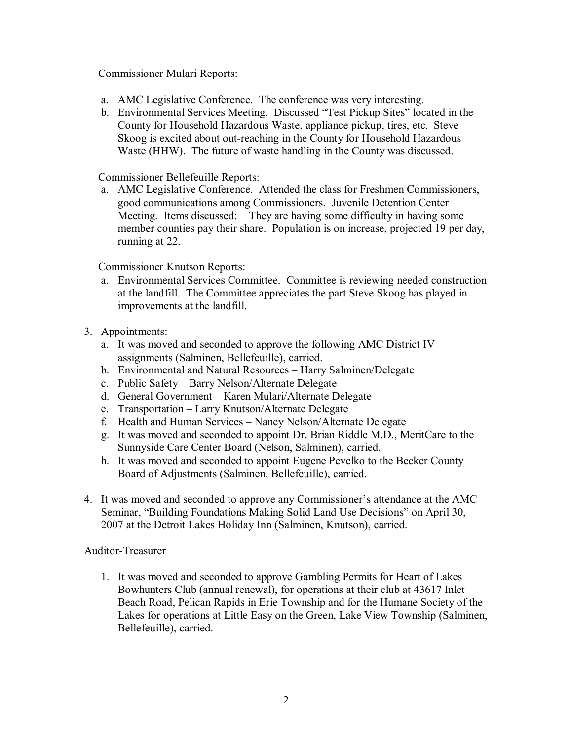Commissioner Mulari Reports:

- a. AMC Legislative Conference. The conference was very interesting.
- b. Environmental Services Meeting. Discussed "Test Pickup Sites" located in the County for Household Hazardous Waste, appliance pickup, tires, etc. Steve Skoog is excited about out-reaching in the County for Household Hazardous Waste (HHW). The future of waste handling in the County was discussed.

Commissioner Bellefeuille Reports:

a. AMC Legislative Conference. Attended the class for Freshmen Commissioners, good communications among Commissioners. Juvenile Detention Center Meeting. Items discussed: They are having some difficulty in having some member counties pay their share. Population is on increase, projected 19 per day, running at 22.

Commissioner Knutson Reports:

- a. Environmental Services Committee. Committee is reviewing needed construction at the landfill. The Committee appreciates the part Steve Skoog has played in improvements at the landfill.
- 3. Appointments:
	- a. It was moved and seconded to approve the following AMC District IV assignments (Salminen, Bellefeuille), carried.
	- b. Environmental and Natural Resources Harry Salminen/Delegate
	- c. Public Safety Barry Nelson/Alternate Delegate
	- d. General Government Karen Mulari/Alternate Delegate
	- e. Transportation Larry Knutson/Alternate Delegate
	- f. Health and Human Services Nancy Nelson/Alternate Delegate
	- g. It was moved and seconded to appoint Dr. Brian Riddle M.D., MeritCare to the Sunnyside Care Center Board (Nelson, Salminen), carried.
	- h. It was moved and seconded to appoint Eugene Pevelko to the Becker County Board of Adjustments (Salminen, Bellefeuille), carried.
- 4. It was moved and seconded to approve any Commissioner's attendance at the AMC Seminar, "Building Foundations Making Solid Land Use Decisions" on April 30, 2007 at the Detroit Lakes Holiday Inn (Salminen, Knutson), carried.

#### Auditor-Treasurer

1. It was moved and seconded to approve Gambling Permits for Heart of Lakes Bowhunters Club (annual renewal), for operations at their club at 43617 Inlet Beach Road, Pelican Rapids in Erie Township and for the Humane Society of the Lakes for operations at Little Easy on the Green, Lake View Township (Salminen, Bellefeuille), carried.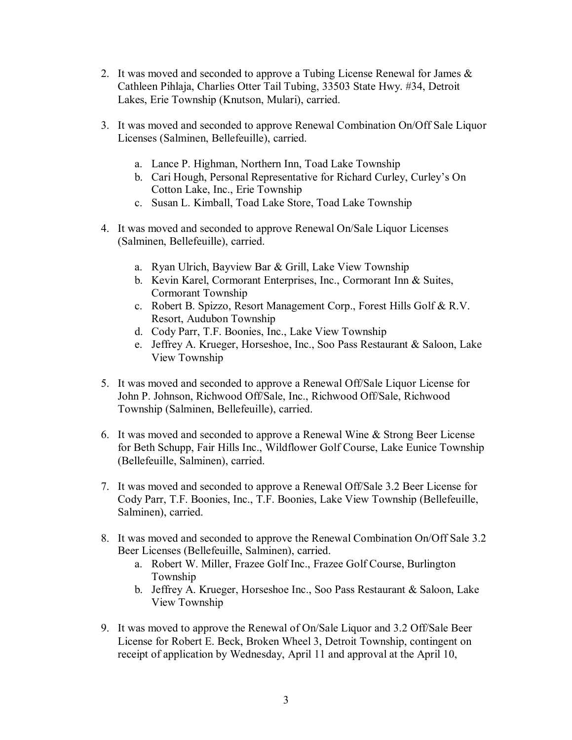- 2. It was moved and seconded to approve a Tubing License Renewal for James & Cathleen Pihlaja, Charlies Otter Tail Tubing, 33503 State Hwy. #34, Detroit Lakes, Erie Township (Knutson, Mulari), carried.
- 3. It was moved and seconded to approve Renewal Combination On/Off Sale Liquor Licenses (Salminen, Bellefeuille), carried.
	- a. Lance P. Highman, Northern Inn, Toad Lake Township
	- b. Cari Hough, Personal Representative for Richard Curley, Curley's On Cotton Lake, Inc., Erie Township
	- c. Susan L. Kimball, Toad Lake Store, Toad Lake Township
- 4. It was moved and seconded to approve Renewal On/Sale Liquor Licenses (Salminen, Bellefeuille), carried.
	- a. Ryan Ulrich, Bayview Bar & Grill, Lake View Township
	- b. Kevin Karel, Cormorant Enterprises, Inc., Cormorant Inn & Suites, Cormorant Township
	- c. Robert B. Spizzo, Resort Management Corp., Forest Hills Golf & R.V. Resort, Audubon Township
	- d. Cody Parr, T.F. Boonies, Inc., Lake View Township
	- e. Jeffrey A. Krueger, Horseshoe, Inc., Soo Pass Restaurant & Saloon, Lake View Township
- 5. It was moved and seconded to approve a Renewal Off/Sale Liquor License for John P. Johnson, Richwood Off/Sale, Inc., Richwood Off/Sale, Richwood Township (Salminen, Bellefeuille), carried.
- 6. It was moved and seconded to approve a Renewal Wine & Strong Beer License for Beth Schupp, Fair Hills Inc., Wildflower Golf Course, Lake Eunice Township (Bellefeuille, Salminen), carried.
- 7. It was moved and seconded to approve a Renewal Off/Sale 3.2 Beer License for Cody Parr, T.F. Boonies, Inc., T.F. Boonies, Lake View Township (Bellefeuille, Salminen), carried.
- 8. It was moved and seconded to approve the Renewal Combination On/Off Sale 3.2 Beer Licenses (Bellefeuille, Salminen), carried.
	- a. Robert W. Miller, Frazee Golf Inc., Frazee Golf Course, Burlington Township
	- b. Jeffrey A. Krueger, Horseshoe Inc., Soo Pass Restaurant & Saloon, Lake View Township
- 9. It was moved to approve the Renewal of On/Sale Liquor and 3.2 Off/Sale Beer License for Robert E. Beck, Broken Wheel 3, Detroit Township, contingent on receipt of application by Wednesday, April 11 and approval at the April 10,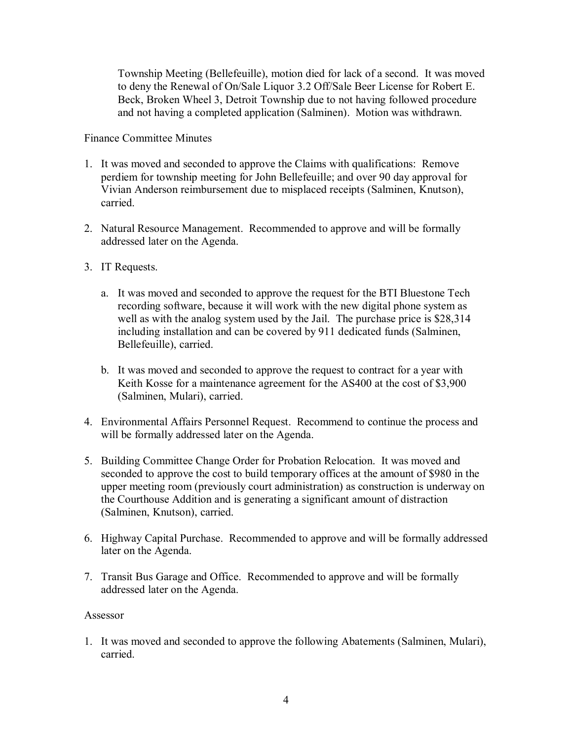Township Meeting (Bellefeuille), motion died for lack of a second. It was moved to deny the Renewal of On/Sale Liquor 3.2 Off/Sale Beer License for Robert E. Beck, Broken Wheel 3, Detroit Township due to not having followed procedure and not having a completed application (Salminen). Motion was withdrawn.

### Finance Committee Minutes

- 1. It was moved and seconded to approve the Claims with qualifications: Remove perdiem for township meeting for John Bellefeuille; and over 90 day approval for Vivian Anderson reimbursement due to misplaced receipts (Salminen, Knutson), carried.
- 2. Natural Resource Management. Recommended to approve and will be formally addressed later on the Agenda.
- 3. IT Requests.
	- a. It was moved and seconded to approve the request for the BTI Bluestone Tech recording software, because it will work with the new digital phone system as well as with the analog system used by the Jail. The purchase price is \$28,314 including installation and can be covered by 911 dedicated funds (Salminen, Bellefeuille), carried.
	- b. It was moved and seconded to approve the request to contract for a year with Keith Kosse for a maintenance agreement for the AS400 at the cost of \$3,900 (Salminen, Mulari), carried.
- 4. Environmental Affairs Personnel Request. Recommend to continue the process and will be formally addressed later on the Agenda.
- 5. Building Committee Change Order for Probation Relocation. It was moved and seconded to approve the cost to build temporary offices at the amount of \$980 in the upper meeting room (previously court administration) as construction is underway on the Courthouse Addition and is generating a significant amount of distraction (Salminen, Knutson), carried.
- 6. Highway Capital Purchase. Recommended to approve and will be formally addressed later on the Agenda.
- 7. Transit Bus Garage and Office. Recommended to approve and will be formally addressed later on the Agenda.

#### Assessor

1. It was moved and seconded to approve the following Abatements (Salminen, Mulari), carried.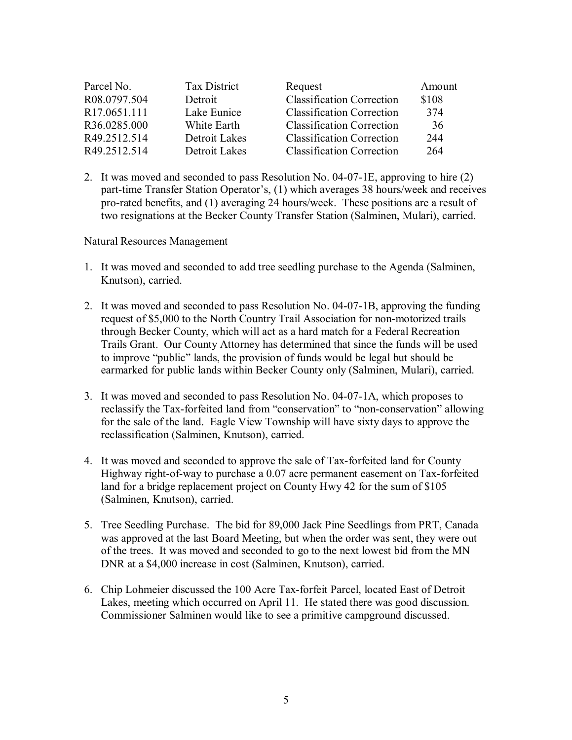| Parcel No.               | Tax District  | Request                          | Amount |
|--------------------------|---------------|----------------------------------|--------|
| R08.0797.504             | Detroit       | <b>Classification Correction</b> | \$108  |
| R <sub>17.0651.111</sub> | Lake Eunice   | <b>Classification Correction</b> | 374    |
| R36.0285.000             | White Earth   | <b>Classification Correction</b> | 36     |
| R49.2512.514             | Detroit Lakes | <b>Classification Correction</b> | 244    |
| R49.2512.514             | Detroit Lakes | <b>Classification Correction</b> | 264    |

2. It was moved and seconded to pass Resolution No.  $04-07-1E$ , approving to hire (2) part-time Transfer Station Operator's, (1) which averages 38 hours/week and receives pro-rated benefits, and (1) averaging  $\overline{24}$  hours/week. These positions are a result of two resignations at the Becker County Transfer Station (Salminen, Mulari), carried.

Natural Resources Management

- 1. It was moved and seconded to add tree seedling purchase to the Agenda (Salminen, Knutson), carried.
- 2. It was moved and seconded to pass Resolution No. 04-07-1B, approving the funding request of \$5,000 to the North Country Trail Association for non-motorized trails through Becker County, which will act as a hard match for a Federal Recreation Trails Grant. Our County Attorney has determined that since the funds will be used to improve "public" lands, the provision of funds would be legal but should be earmarked for public lands within Becker County only (Salminen, Mulari), carried.
- 3. It was moved and seconded to pass Resolution No. 04-07-1A, which proposes to reclassify the Tax-forfeited land from "conservation" to "non-conservation" allowing for the sale of the land. Eagle View Township will have sixty days to approve the reclassification (Salminen, Knutson), carried.
- 4. It was moved and seconded to approve the sale of Tax-forfeited land for County Highway right-of-way to purchase a 0.07 acre permanent easement on Tax-forfeited land for a bridge replacement project on County Hwy 42 for the sum of \$105 (Salminen, Knutson), carried.
- 5. Tree Seedling Purchase. The bid for 89,000 Jack Pine Seedlings from PRT, Canada was approved at the last Board Meeting, but when the order was sent, they were out of the trees. It was moved and seconded to go to the next lowest bid from the MN DNR at a \$4,000 increase in cost (Salminen, Knutson), carried.
- 6. Chip Lohmeier discussed the 100 Acre Tax-forfeit Parcel, located East of Detroit Lakes, meeting which occurred on April 11. He stated there was good discussion. Commissioner Salminen would like to see a primitive campground discussed.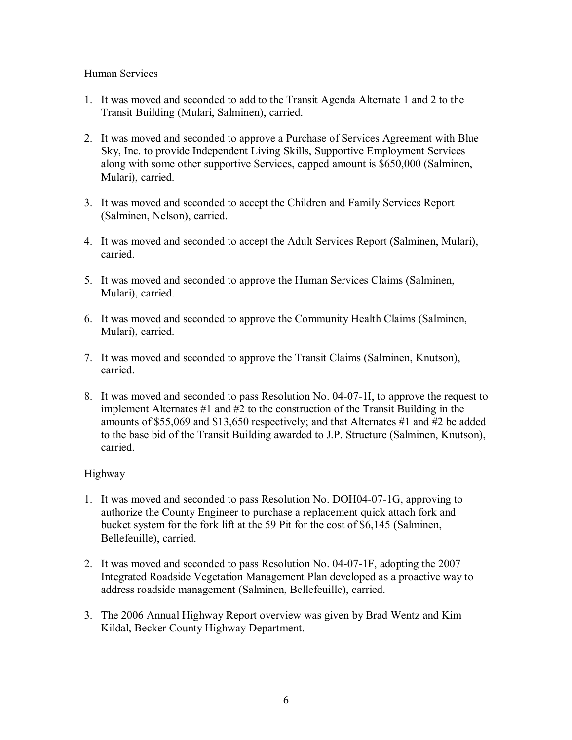### Human Services

- 1. It was moved and seconded to add to the Transit Agenda Alternate 1 and 2 to the Transit Building (Mulari, Salminen), carried.
- 2. It was moved and seconded to approve a Purchase of Services Agreement with Blue Sky, Inc. to provide Independent Living Skills, Supportive Employment Services along with some other supportive Services, capped amount is \$650,000 (Salminen, Mulari), carried.
- 3. It was moved and seconded to accept the Children and Family Services Report (Salminen, Nelson), carried.
- 4. It was moved and seconded to accept the Adult Services Report (Salminen, Mulari), carried.
- 5. It was moved and seconded to approve the Human Services Claims (Salminen, Mulari), carried.
- 6. It was moved and seconded to approve the Community Health Claims (Salminen, Mulari), carried.
- 7. It was moved and seconded to approve the Transit Claims (Salminen, Knutson), carried.
- 8. It was moved and seconded to pass Resolution No. 04-07-1I, to approve the request to implement Alternates #1 and #2 to the construction of the Transit Building in the amounts of \$55,069 and \$13,650 respectively; and that Alternates #1 and #2 be added to the base bid of the Transit Building awarded to J.P. Structure (Salminen, Knutson), carried.

# Highway

- 1. It was moved and seconded to pass Resolution No. DOH04-07-1G, approving to authorize the County Engineer to purchase a replacement quick attach fork and bucket system for the fork lift at the 59 Pit for the cost of \$6,145 (Salminen, Bellefeuille), carried.
- 2. It was moved and seconded to pass Resolution No.  $04-07-1$ F, adopting the 2007 Integrated Roadside Vegetation Management Plan developed as a proactive way to address roadside management (Salminen, Bellefeuille), carried.
- 3. The 2006 Annual Highway Report overview was given by Brad Wentz and Kim Kildal, Becker County Highway Department.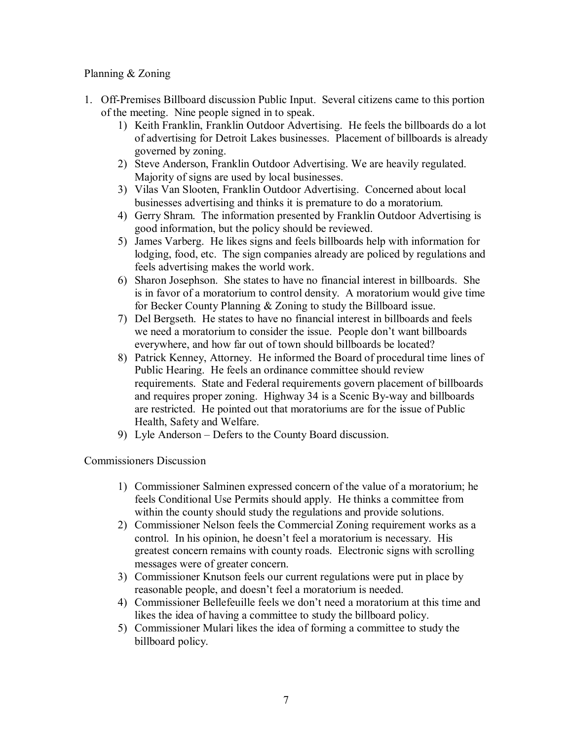## Planning & Zoning

- 1. Off-Premises Billboard discussion Public Input. Several citizens came to this portion of the meeting. Nine people signed in to speak.
	- 1) Keith Franklin, Franklin Outdoor Advertising. He feels the billboards do a lot of advertising for Detroit Lakes businesses. Placement of billboards is already governed by zoning.
	- 2) Steve Anderson, Franklin Outdoor Advertising. We are heavily regulated. Majority of signs are used by local businesses.
	- 3) Vilas Van Slooten, Franklin Outdoor Advertising. Concerned about local businesses advertising and thinks it is premature to do a moratorium.
	- 4) Gerry Shram. The information presented by Franklin Outdoor Advertising is good information, but the policy should be reviewed.
	- 5) James Varberg. He likes signs and feels billboards help with information for lodging, food, etc. The sign companies already are policed by regulations and feels advertising makes the world work.
	- 6) Sharon Josephson. She states to have no financial interest in billboards. She is in favor of a moratorium to control density. A moratorium would give time for Becker County Planning & Zoning to study the Billboard issue.
	- 7) Del Bergseth. He states to have no financial interest in billboards and feels we need a moratorium to consider the issue. People don't want billboards everywhere, and how far out of town should billboards be located?
	- 8) Patrick Kenney, Attorney. He informed the Board of procedural time lines of Public Hearing. He feels an ordinance committee should review requirements. State and Federal requirements govern placement of billboards and requires proper zoning. Highway 34 is a Scenic By-way and billboards are restricted. He pointed out that moratoriums are for the issue of Public Health, Safety and Welfare.
	- 9) Lyle Anderson Defers to the County Board discussion.

Commissioners Discussion

- 1) Commissioner Salminen expressed concern of the value of a moratorium; he feels Conditional Use Permits should apply. He thinks a committee from within the county should study the regulations and provide solutions.
- 2) Commissioner Nelson feels the Commercial Zoning requirement works as a control. In his opinion, he doesn't feel a moratorium is necessary. His greatest concern remains with county roads. Electronic signs with scrolling messages were of greater concern.
- 3) Commissioner Knutson feels our current regulations were put in place by reasonable people, and doesn't feel a moratorium is needed.
- 4) Commissioner Bellefeuille feels we don't need a moratorium at this time and likes the idea of having a committee to study the billboard policy.
- 5) Commissioner Mulari likes the idea of forming a committee to study the billboard policy.